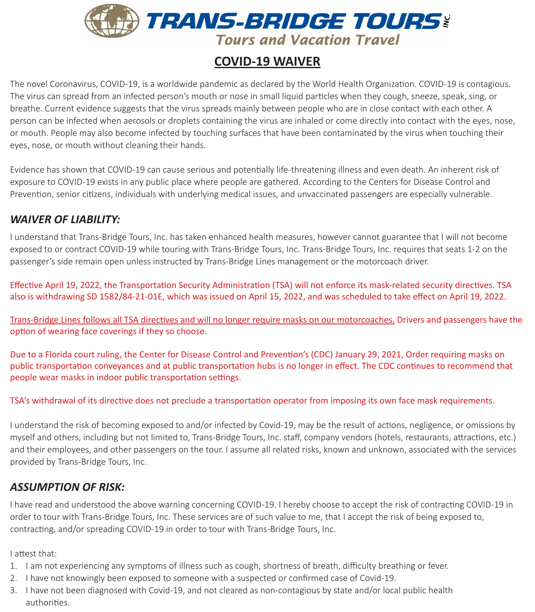

## **COVID-19 WAIVER**

The novel Coronavirus, COVID-19, is a worldwide pandemic as declared by the World Health Organization. COVID-19 is contagious. The virus can spread from an infected person's mouth or nose in small liquid particles when they cough, sneeze, speak, sing, or breathe. Current evidence suggests that the virus spreads mainly between people who are in close contact with each other. A person can be infected when aerosols or droplets containing the virus are inhaled or come directly into contact with the eyes, nose, or mouth. People may also become infected by touching surfaces that have been contaminated by the virus when touching their eyes, nose, or mouth without cleaning their hands.

Evidence has shown that COVID-19 can cause serious and potentially life-threatening illness and even death. An inherent risk of exposure to COVID-19 exists in any public place where people are gathered. According to the Centers for Disease Control and Prevention, senior citizens, individuals with underlying medical issues, and unvaccinated passengers are especially vulnerable.

## *WAIVER OF LIABILITY:*

I understand that Trans-Bridge Tours, Inc. has taken enhanced health measures, however cannot guarantee that I will not become exposed to or contract COVID-19 while touring with Trans-Bridge Tours, Inc. Trans-Bridge Tours, Inc. requires that seats 1-2 on the passenger's side remain open unless instructed by Trans-Bridge Lines management or the motorcoach driver.

Effective April 19, 2022, the Transportation Security Administration (TSA) will not enforce its mask-related security directives. TSA also is withdrawing SD 1582/84-21-01E, which was issued on April 15, 2022, and was scheduled to take effect on April 19, 2022.

Trans-Bridge Lines follows all TSA directives and will no longer require masks on our motorcoaches. Drivers and passengers have the option of wearing face coverings if they so choose.

Due to a Florida court ruling, the Center for Disease Control and Prevention's (CDC) January 29, 2021, Order requiring masks on public transportation conveyances and at public transportation hubs is no longer in effect. The CDC continues to recommend that people wear masks in indoor public transportation settings.

TSA's withdrawal of its directive does not preclude a transportation operator from imposing its own face mask requirements.

I understand the risk of becoming exposed to and/or infected by Covid-19, may be the result of actions, negligence, or omissions by myself and others, including but not limited to, Trans-Bridge Tours, Inc. staff, company vendors (hotels, restaurants, attractions, etc.) and their employees, and other passengers on the tour. I assume all related risks, known and unknown, associated with the services provided by Trans-Bridge Tours, Inc.

## *ASSUMPTION OF RISK:*

I have read and understood the above warning concerning COVID-19. I hereby choose to accept the risk of contracting COVID-19 in order to tour with Trans-Bridge Tours, Inc. These services are of such value to me, that I accept the risk of being exposed to, contracting, and/or spreading COVID-19 in order to tour with Trans-Bridge Tours, Inc.

I attest that:

- 1. I am not experiencing any symptoms of illness such as cough, shortness of breath, difficulty breathing or fever.
- 2. I have not knowingly been exposed to someone with a suspected or confirmed case of Covid-19.
- 3. I have not been diagnosed with Covid-19, and not cleared as non-contagious by state and/or local public health authorities.